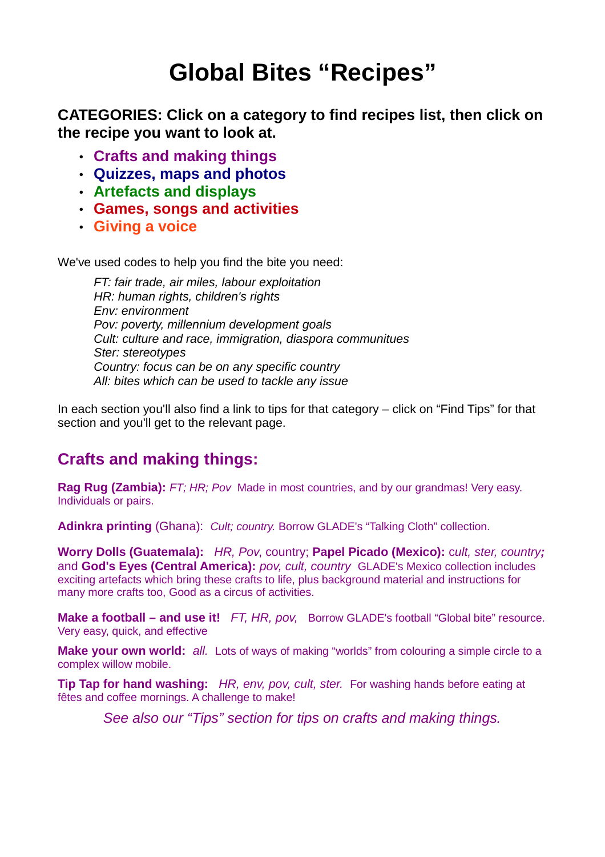# **Global Bites "Recipes"**

**CATEGORIES: Click on a category to find recipes list, then click on the recipe you want to look at.**

- **Crafts and making things**
- **Quizzes, maps and photos**
- **Artefacts and displays**
- **Games, songs and activities**
- **Giving a voice**

We've used codes to help you find the bite you need:

FT: fair trade, air miles, labour exploitation HR: human rights, children's rights Env: environment Pov: poverty, millennium development goals Cult: culture and race, immigration, diaspora communitues Ster: stereotypes Country: focus can be on any specific country All: bites which can be used to tackle any issue

In each section you'll also find a link to tips for that category – click on "Find Tips" for that section and you'll get to the relevant page.

## **Crafts and making things:**

**Rag Rug (Zambia):** FT; HR; Pov Made in most countries, and by our grandmas! Very easy. Individuals or pairs.

Adinkra printing (Ghana): Cult; country. Borrow GLADE's "Talking Cloth" collection.

**Worry Dolls (Guatemala):** HR, Pov, country; **Papel Picado (Mexico):** cult, ster, country**;** and **God's Eyes (Central America):** pov, cult, country GLADE's Mexico collection includes exciting artefacts which bring these crafts to life, plus background material and instructions for many more crafts too, Good as a circus of activities.

**Make a football – and use it!** FT, HR, pov, Borrow GLADE's football "Global bite" resource. Very easy, quick, and effective

**Make your own world:** all. Lots of ways of making "worlds" from colouring a simple circle to a complex willow mobile.

**Tip Tap for hand washing:** HR, env, pov, cult, ster. For washing hands before eating at fêtes and coffee mornings. A challenge to make!

See also our "Tips" section for tips on crafts and making things.